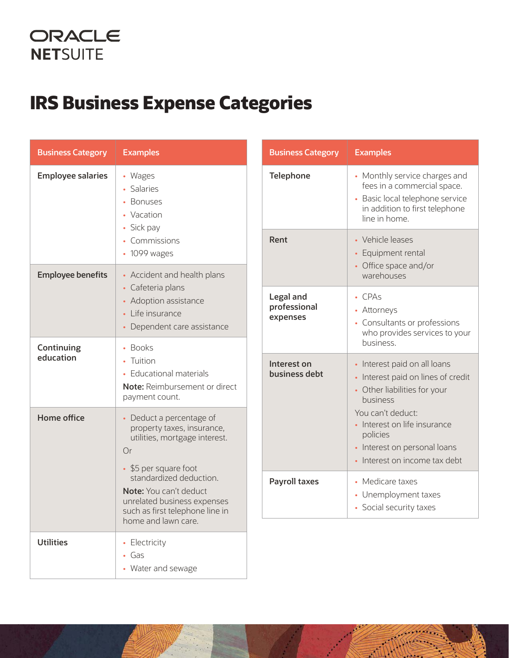## ORACLE **NETSUITE**

## **IRS Business Expense Categories**

|  | <b>Business Category</b>                          | <b>Examples</b>                                                                                                                                                                                                                                                      |  | <b>Business Category</b>              | <b>Examples</b>                                                                                                                                                                                                                                  |
|--|---------------------------------------------------|----------------------------------------------------------------------------------------------------------------------------------------------------------------------------------------------------------------------------------------------------------------------|--|---------------------------------------|--------------------------------------------------------------------------------------------------------------------------------------------------------------------------------------------------------------------------------------------------|
|  | <b>Employee salaries</b><br>• Wages<br>• Salaries | • Bonuses<br>• Vacation<br>• Sick pay                                                                                                                                                                                                                                |  | <b>Telephone</b>                      | • Monthly service charges and<br>fees in a commercial space.<br>• Basic local telephone service<br>in addition to first telephone<br>line in home.                                                                                               |
|  | <b>Employee benefits</b>                          | • Commissions<br>$\cdot$ 1099 wages<br>• Accident and health plans                                                                                                                                                                                                   |  | Rent                                  | • Vehicle leases<br>Equipment rental<br>$\bullet$<br>• Office space and/or<br>warehouses                                                                                                                                                         |
|  |                                                   | • Cafeteria plans<br>• Adoption assistance<br>• Life insurance<br>• Dependent care assistance                                                                                                                                                                        |  | Legal and<br>professional<br>expenses | • CPAs<br>• Attorneys<br>• Consultants or professions<br>who provides services to your<br>business.                                                                                                                                              |
|  | Continuing<br>education                           | • Books<br>• Tuition<br>• Educational materials<br>Note: Reimbursement or direct<br>payment count.                                                                                                                                                                   |  | Interest on<br>business debt          | • Interest paid on all loans<br>• Interest paid on lines of credit<br>• Other liabilities for your<br>business<br>You can't deduct:<br>• Interest on life insurance<br>policies<br>• Interest on personal loans<br>• Interest on income tax debt |
|  | <b>Home office</b>                                | • Deduct a percentage of<br>property taxes, insurance,<br>utilities, mortgage interest.<br>Or<br>• \$5 per square foot<br>standardized deduction.<br>Note: You can't deduct<br>unrelated business expenses<br>such as first telephone line in<br>home and lawn care. |  |                                       |                                                                                                                                                                                                                                                  |
|  |                                                   |                                                                                                                                                                                                                                                                      |  | Payroll taxes                         | • Medicare taxes<br>• Unemployment taxes<br>• Social security taxes                                                                                                                                                                              |
|  | <b>Utilities</b>                                  | • Electricity<br>$-$ Gas<br>• Water and sewage                                                                                                                                                                                                                       |  |                                       |                                                                                                                                                                                                                                                  |